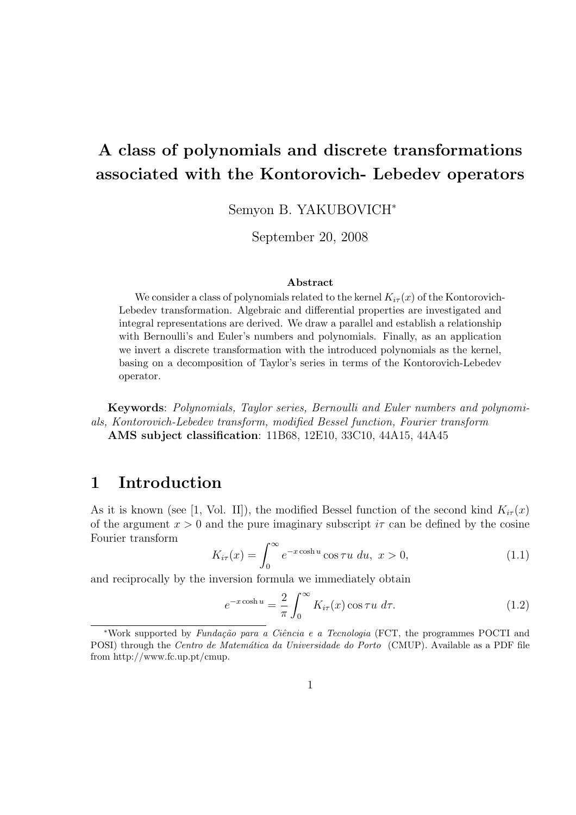# A class of polynomials and discrete transformations associated with the Kontorovich- Lebedev operators

Semyon B. YAKUBOVICH<sup>∗</sup>

September 20, 2008

### Abstract

We consider a class of polynomials related to the kernel  $K_{i\tau}(x)$  of the Kontorovich-Lebedev transformation. Algebraic and differential properties are investigated and integral representations are derived. We draw a parallel and establish a relationship with Bernoulli's and Euler's numbers and polynomials. Finally, as an application we invert a discrete transformation with the introduced polynomials as the kernel, basing on a decomposition of Taylor's series in terms of the Kontorovich-Lebedev operator.

Keywords: Polynomials, Taylor series, Bernoulli and Euler numbers and polynomials, Kontorovich-Lebedev transform, modified Bessel function, Fourier transform AMS subject classification: 11B68, 12E10, 33C10, 44A15, 44A45

### 1 Introduction

As it is known (see [1, Vol. II]), the modified Bessel function of the second kind  $K_{i\tau}(x)$ of the argument  $x > 0$  and the pure imaginary subscript  $i\tau$  can be defined by the cosine Fourier transform

$$
K_{i\tau}(x) = \int_0^\infty e^{-x \cosh u} \cos \tau u \, du, \ x > 0,
$$
\n(1.1)

and reciprocally by the inversion formula we immediately obtain

$$
e^{-x\cosh u} = \frac{2}{\pi} \int_0^\infty K_{i\tau}(x) \cos \tau u \, d\tau.
$$
 (1.2)

<sup>\*</sup>Work supported by Fundação para a Ciência e a Tecnologia (FCT, the programmes POCTI and POSI) through the Centro de Matemática da Universidade do Porto (CMUP). Available as a PDF file from http://www.fc.up.pt/cmup.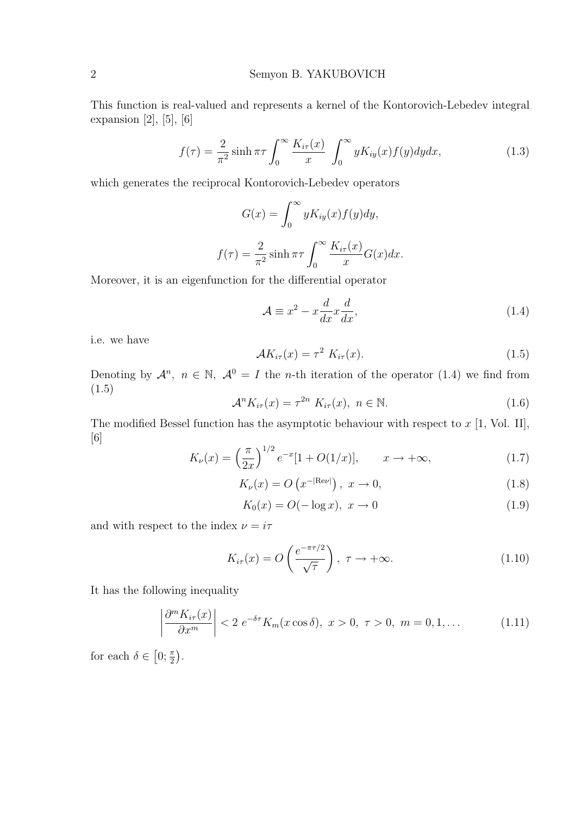This function is real-valued and represents a kernel of the Kontorovich-Lebedev integral expansion  $[2]$ ,  $[5]$ ,  $[6]$ 

$$
f(\tau) = \frac{2}{\pi^2} \sinh \pi \tau \int_0^\infty \frac{K_{i\tau}(x)}{x} \int_0^\infty y K_{iy}(x) f(y) dy dx, \tag{1.3}
$$

which generates the reciprocal Kontorovich-Lebedev operators

$$
G(x) = \int_0^\infty y K_{iy}(x) f(y) dy,
$$

$$
f(\tau) = \frac{2}{\pi^2} \sinh \pi \tau \int_0^\infty \frac{K_{i\tau}(x)}{x} G(x) dx.
$$

Moreover, it is an eigenfunction for the differential operator

$$
\mathcal{A} \equiv x^2 - x \frac{d}{dx} x \frac{d}{dx},\tag{1.4}
$$

i.e. we have

$$
\mathcal{A}K_{i\tau}(x) = \tau^2 K_{i\tau}(x). \tag{1.5}
$$

Denoting by  $\mathcal{A}^n$ ,  $n \in \mathbb{N}$ ,  $\mathcal{A}^0 = I$  the *n*-th iteration of the operator (1.4) we find from (1.5)

$$
\mathcal{A}^n K_{i\tau}(x) = \tau^{2n} K_{i\tau}(x), \ n \in \mathbb{N}.
$$
 (1.6)

The modified Bessel function has the asymptotic behaviour with respect to  $x$  [1, Vol. II], [6]

$$
K_{\nu}(x) = \left(\frac{\pi}{2x}\right)^{1/2} e^{-x} [1 + O(1/x)], \qquad x \to +\infty,
$$
\n(1.7)

$$
K_{\nu}(x) = O\left(x^{-|\text{Re}\nu|}\right), \ x \to 0,\tag{1.8}
$$

$$
K_0(x) = O(-\log x), \ x \to 0 \tag{1.9}
$$

and with respect to the index  $\nu = i\tau$ 

$$
K_{i\tau}(x) = O\left(\frac{e^{-\pi\tau/2}}{\sqrt{\tau}}\right), \ \tau \to +\infty.
$$
 (1.10)

It has the following inequality

$$
\left|\frac{\partial^m K_{i\tau}(x)}{\partial x^m}\right| < 2 \ e^{-\delta \tau} K_m(x \cos \delta), \ x > 0, \ \tau > 0, \ m = 0, 1, \dots \tag{1.11}
$$

for each  $\delta \in$ £  $0; \frac{\pi}{2}$ ¢ .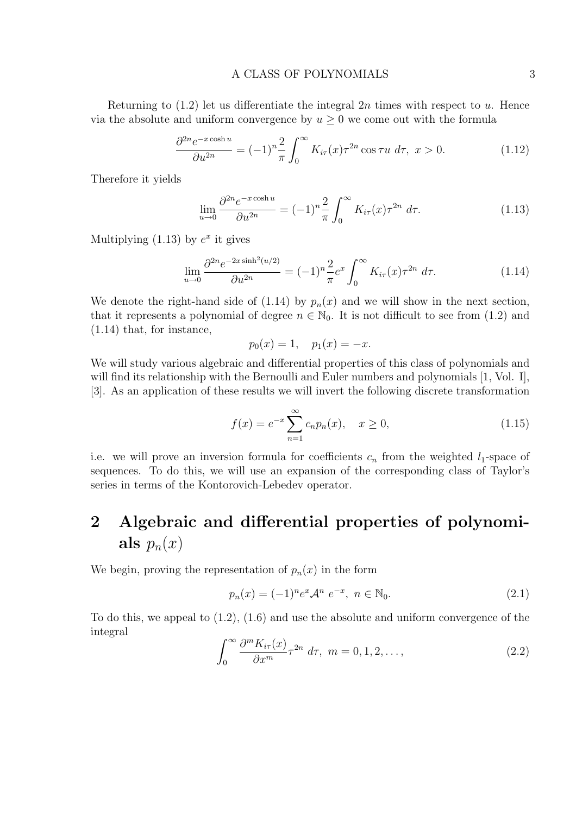### A CLASS OF POLYNOMIALS 3

Returning to  $(1.2)$  let us differentiate the integral  $2n$  times with respect to u. Hence via the absolute and uniform convergence by  $u \geq 0$  we come out with the formula

$$
\frac{\partial^{2n} e^{-x \cosh u}}{\partial u^{2n}} = (-1)^n \frac{2}{\pi} \int_0^\infty K_{i\tau}(x) \tau^{2n} \cos \tau u \, d\tau, \ x > 0. \tag{1.12}
$$

Therefore it yields

$$
\lim_{u \to 0} \frac{\partial^{2n} e^{-x \cosh u}}{\partial u^{2n}} = (-1)^n \frac{2}{\pi} \int_0^\infty K_{i\tau}(x) \tau^{2n} d\tau.
$$
 (1.13)

Multiplying  $(1.13)$  by  $e^x$  it gives

$$
\lim_{u \to 0} \frac{\partial^{2n} e^{-2x \sinh^2(u/2)}}{\partial u^{2n}} = (-1)^n \frac{2}{\pi} e^x \int_0^\infty K_{i\tau}(x) \tau^{2n} d\tau.
$$
 (1.14)

We denote the right-hand side of (1.14) by  $p_n(x)$  and we will show in the next section, that it represents a polynomial of degree  $n \in \mathbb{N}_0$ . It is not difficult to see from (1.2) and (1.14) that, for instance,

$$
p_0(x) = 1, \quad p_1(x) = -x.
$$

We will study various algebraic and differential properties of this class of polynomials and will find its relationship with the Bernoulli and Euler numbers and polynomials [1, Vol. I], [3]. As an application of these results we will invert the following discrete transformation

$$
f(x) = e^{-x} \sum_{n=1}^{\infty} c_n p_n(x), \quad x \ge 0,
$$
\n(1.15)

i.e. we will prove an inversion formula for coefficients  $c_n$  from the weighted  $l_1$ -space of sequences. To do this, we will use an expansion of the corresponding class of Taylor's series in terms of the Kontorovich-Lebedev operator.

## 2 Algebraic and differential properties of polynomials  $p_n(x)$

We begin, proving the representation of  $p_n(x)$  in the form

$$
p_n(x) = (-1)^n e^x \mathcal{A}^n e^{-x}, \ n \in \mathbb{N}_0.
$$
 (2.1)

To do this, we appeal to (1.2), (1.6) and use the absolute and uniform convergence of the integral  $\overline{r}$ 

$$
\int_0^\infty \frac{\partial^m K_{i\tau}(x)}{\partial x^m} \tau^{2n} d\tau, \ m = 0, 1, 2, \dots,
$$
\n(2.2)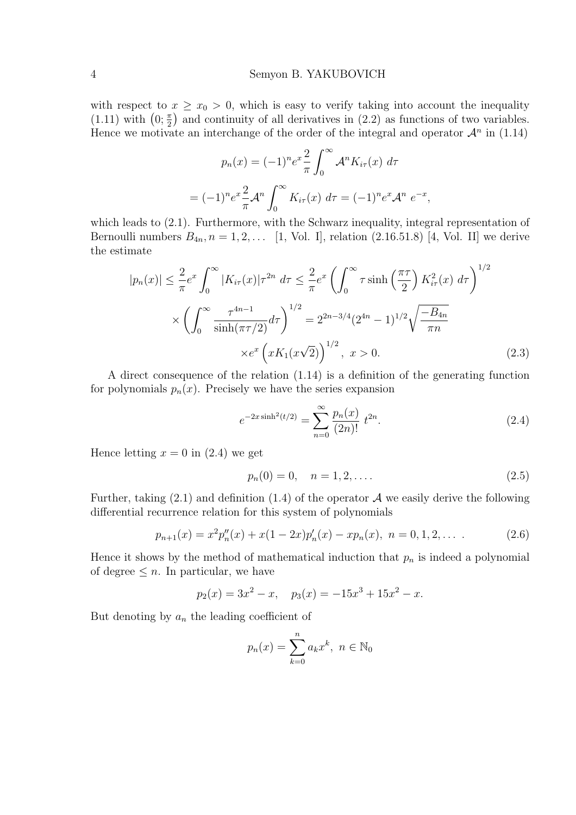with respect to  $x \geq x_0 > 0$ , which is easy to verify taking into account the inequality with respect to  $x \ge x_0 > 0$ , which is easy to verify taking into account the inequality (1.11) with  $(0; \frac{\pi}{2})$  and continuity of all derivatives in (2.2) as functions of two variables. Hence we motivate an interchange of the order of the integral and operator  $\mathcal{A}^n$  in (1.14)

$$
p_n(x) = (-1)^n e^x \frac{2}{\pi} \int_0^\infty \mathcal{A}^n K_{i\tau}(x) d\tau
$$
  
= 
$$
(-1)^n e^x \frac{2}{\pi} \mathcal{A}^n \int_0^\infty K_{i\tau}(x) d\tau = (-1)^n e^x \mathcal{A}^n e^{-x},
$$

which leads to  $(2.1)$ . Furthermore, with the Schwarz inequality, integral representation of Bernoulli numbers  $B_{4n}$ ,  $n = 1, 2, \ldots$  [1, Vol. I], relation (2.16.51.8) [4, Vol. II] we derive the estimate

$$
|p_n(x)| \le \frac{2}{\pi} e^x \int_0^\infty |K_{i\tau}(x)| \tau^{2n} d\tau \le \frac{2}{\pi} e^x \left( \int_0^\infty \tau \sinh\left(\frac{\pi\tau}{2}\right) K_{i\tau}^2(x) d\tau \right)^{1/2}
$$

$$
\times \left( \int_0^\infty \frac{\tau^{4n-1}}{\sinh(\pi\tau/2)} d\tau \right)^{1/2} = 2^{2n-3/4} (2^{4n} - 1)^{1/2} \sqrt{\frac{-B_{4n}}{\pi n}}
$$

$$
\times e^x \left( x K_1(x\sqrt{2}) \right)^{1/2}, \ x > 0. \tag{2.3}
$$

A direct consequence of the relation (1.14) is a definition of the generating function for polynomials  $p_n(x)$ . Precisely we have the series expansion

$$
e^{-2x\sinh^2(t/2)} = \sum_{n=0}^{\infty} \frac{p_n(x)}{(2n)!} \ t^{2n}.
$$
 (2.4)

Hence letting  $x = 0$  in (2.4) we get

$$
p_n(0) = 0, \quad n = 1, 2, \dots
$$
\n<sup>(2.5)</sup>

Further, taking  $(2.1)$  and definition  $(1.4)$  of the operator A we easily derive the following differential recurrence relation for this system of polynomials

$$
p_{n+1}(x) = x^2 p_n''(x) + x(1 - 2x) p_n'(x) - x p_n(x), \quad n = 0, 1, 2, \dots \tag{2.6}
$$

Hence it shows by the method of mathematical induction that  $p_n$  is indeed a polynomial of degree  $\leq n$ . In particular, we have

$$
p_2(x) = 3x^2 - x, \quad p_3(x) = -15x^3 + 15x^2 - x.
$$

But denoting by  $a_n$  the leading coefficient of

$$
p_n(x) = \sum_{k=0}^n a_k x^k, \ n \in \mathbb{N}_0
$$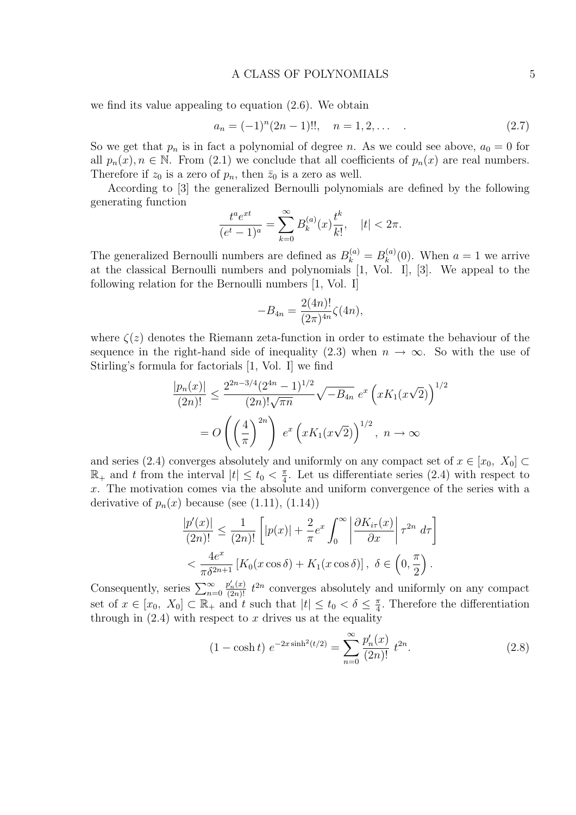### A CLASS OF POLYNOMIALS 5

we find its value appealing to equation (2.6). We obtain

$$
a_n = (-1)^n (2n - 1)!!, \quad n = 1, 2, \dots \tag{2.7}
$$

So we get that  $p_n$  is in fact a polynomial of degree n. As we could see above,  $a_0 = 0$  for all  $p_n(x)$ ,  $n \in \mathbb{N}$ . From (2.1) we conclude that all coefficients of  $p_n(x)$  are real numbers. Therefore if  $z_0$  is a zero of  $p_n$ , then  $\bar{z}_0$  is a zero as well.

According to [3] the generalized Bernoulli polynomials are defined by the following generating function

$$
\frac{t^a e^{xt}}{(e^t - 1)^a} = \sum_{k=0}^{\infty} B_k^{(a)}(x) \frac{t^k}{k!}, \quad |t| < 2\pi.
$$

The generalized Bernoulli numbers are defined as  $B_k^{(a)} = B_k^{(a)}$  $\binom{a}{k}(0)$ . When  $a=1$  we arrive at the classical Bernoulli numbers and polynomials [1, Vol. I], [3]. We appeal to the following relation for the Bernoulli numbers [1, Vol. I]

$$
-B_{4n} = \frac{2(4n)!}{(2\pi)^{4n}} \zeta(4n),
$$

where  $\zeta(z)$  denotes the Riemann zeta-function in order to estimate the behaviour of the sequence in the right-hand side of inequality (2.3) when  $n \to \infty$ . So with the use of Stirling's formula for factorials [1, Vol. I] we find

$$
\frac{|p_n(x)|}{(2n)!} \le \frac{2^{2n-3/4} (2^{4n} - 1)^{1/2}}{(2n)! \sqrt{\pi n}} \sqrt{-B_{4n}} e^x \left( xK_1(x\sqrt{2}) \right)^{1/2}
$$

$$
= O\left( \left(\frac{4}{\pi}\right)^{2n} \right) e^x \left( xK_1(x\sqrt{2}) \right)^{1/2}, \ n \to \infty
$$

and series (2.4) converges absolutely and uniformly on any compact set of  $x \in [x_0, X_0]$  $\mathbb{R}_+$  and t from the interval  $|t| \leq t_0 < \frac{\pi}{4}$  $\frac{\pi}{4}$ . Let us differentiate series (2.4) with respect to x. The motivation comes via the absolute and uniform convergence of the series with a derivative of  $p_n(x)$  because (see (1.11), (1.14))

$$
\frac{|p'(x)|}{(2n)!} \le \frac{1}{(2n)!} \left[ |p(x)| + \frac{2}{\pi} e^x \int_0^\infty \left| \frac{\partial K_{i\tau}(x)}{\partial x} \right| \tau^{2n} d\tau \right]
$$
  

$$
< \frac{4e^x}{\pi \delta^{2n+1}} \left[ K_0(x \cos \delta) + K_1(x \cos \delta) \right], \ \delta \in \left( 0, \frac{\pi}{2} \right).
$$

Consequently, series  $\sum_{n=0}^{\infty}$  $\frac{p'_n(x)}{(2n)!} t^{2n}$  converges absolutely and uniformly on any compact set of  $x \in [x_0, X_0] \subset \mathbb{R}_+$  and t such that  $|t| \le t_0 < \delta \le \frac{\pi}{4}$  $\frac{\pi}{4}$ . Therefore the differentiation through in  $(2.4)$  with respect to x drives us at the equality

$$
(1 - \cosh t) e^{-2x \sinh^2(t/2)} = \sum_{n=0}^{\infty} \frac{p'_n(x)}{(2n)!} t^{2n}.
$$
 (2.8)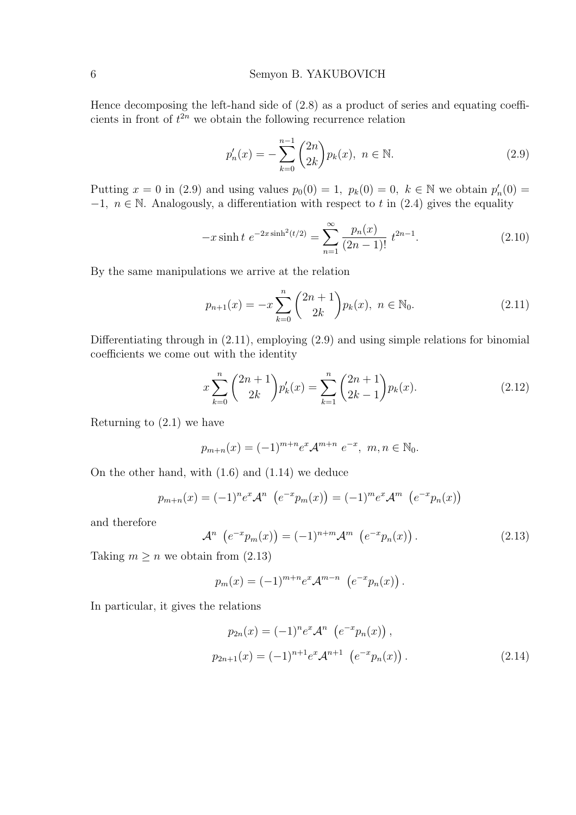Hence decomposing the left-hand side of (2.8) as a product of series and equating coefficients in front of  $t^{2n}$  we obtain the following recurrence relation

$$
p'_n(x) = -\sum_{k=0}^{n-1} {2n \choose 2k} p_k(x), \ n \in \mathbb{N}.
$$
 (2.9)

Putting  $x = 0$  in (2.9) and using values  $p_0(0) = 1$ ,  $p_k(0) = 0$ ,  $k \in \mathbb{N}$  we obtain  $p'_n(0) = 0$  $-1, n \in \mathbb{N}$ . Analogously, a differentiation with respect to t in (2.4) gives the equality

$$
-x\sinh t \ e^{-2x\sinh^2(t/2)} = \sum_{n=1}^{\infty} \frac{p_n(x)}{(2n-1)!} \ t^{2n-1}.
$$
 (2.10)

By the same manipulations we arrive at the relation

$$
p_{n+1}(x) = -x \sum_{k=0}^{n} {2n+1 \choose 2k} p_k(x), \ n \in \mathbb{N}_0.
$$
 (2.11)

Differentiating through in (2.11), employing (2.9) and using simple relations for binomial coefficients we come out with the identity

$$
x\sum_{k=0}^{n} {2n+1 \choose 2k} p'_k(x) = \sum_{k=1}^{n} {2n+1 \choose 2k-1} p_k(x).
$$
 (2.12)

Returning to (2.1) we have

$$
p_{m+n}(x) = (-1)^{m+n} e^x \mathcal{A}^{m+n} e^{-x}, \ m, n \in \mathbb{N}_0.
$$

On the other hand, with (1.6) and (1.14) we deduce

$$
p_{m+n}(x) = (-1)^n e^x \mathcal{A}^n \ \left( e^{-x} p_m(x) \right) = (-1)^m e^x \mathcal{A}^m \ \left( e^{-x} p_n(x) \right)
$$

and therefore

$$
\mathcal{A}^n \left( e^{-x} p_m(x) \right) = (-1)^{n+m} \mathcal{A}^m \left( e^{-x} p_n(x) \right). \tag{2.13}
$$

Taking  $m \geq n$  we obtain from  $(2.13)$ 

$$
p_m(x) = (-1)^{m+n} e^x \mathcal{A}^{m-n} \left( e^{-x} p_n(x) \right).
$$

In particular, it gives the relations

$$
p_{2n}(x) = (-1)^n e^x \mathcal{A}^n \left( e^{-x} p_n(x) \right),
$$
  

$$
p_{2n+1}(x) = (-1)^{n+1} e^x \mathcal{A}^{n+1} \left( e^{-x} p_n(x) \right).
$$
 (2.14)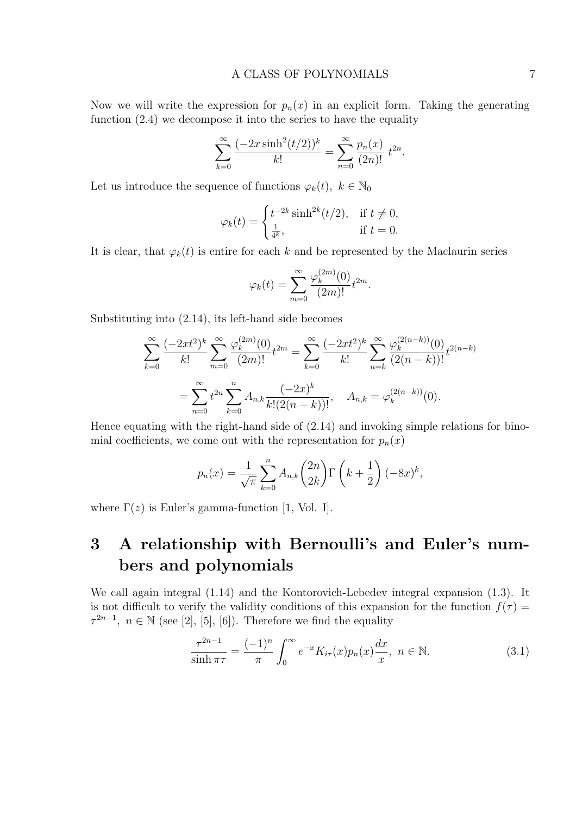Now we will write the expression for  $p_n(x)$  in an explicit form. Taking the generating function (2.4) we decompose it into the series to have the equality

$$
\sum_{k=0}^{\infty} \frac{(-2x \sinh^2(t/2))^k}{k!} = \sum_{n=0}^{\infty} \frac{p_n(x)}{(2n)!} t^{2n}.
$$

Let us introduce the sequence of functions  $\varphi_k(t)$ ,  $k \in \mathbb{N}_0$ 

$$
\varphi_k(t) = \begin{cases} t^{-2k} \sinh^{2k}(t/2), & \text{if } t \neq 0, \\ \frac{1}{4^k}, & \text{if } t = 0. \end{cases}
$$

It is clear, that  $\varphi_k(t)$  is entire for each k and be represented by the Maclaurin series

$$
\varphi_k(t) = \sum_{m=0}^{\infty} \frac{\varphi_k^{(2m)}(0)}{(2m)!} t^{2m}.
$$

Substituting into (2.14), its left-hand side becomes

$$
\sum_{k=0}^{\infty} \frac{(-2xt^2)^k}{k!} \sum_{m=0}^{\infty} \frac{\varphi_k^{(2m)}(0)}{(2m)!} t^{2m} = \sum_{k=0}^{\infty} \frac{(-2xt^2)^k}{k!} \sum_{n=k}^{\infty} \frac{\varphi_k^{(2(n-k))}(0)}{(2(n-k))!} t^{2(n-k)}
$$

$$
= \sum_{n=0}^{\infty} t^{2n} \sum_{k=0}^n A_{n,k} \frac{(-2x)^k}{k! (2(n-k))!}, \quad A_{n,k} = \varphi_k^{(2(n-k))}(0).
$$

Hence equating with the right-hand side of (2.14) and invoking simple relations for binomial coefficients, we come out with the representation for  $p_n(x)$ 

$$
p_n(x) = \frac{1}{\sqrt{\pi}} \sum_{k=0}^n A_{n,k} {2n \choose 2k} \Gamma\left(k + \frac{1}{2}\right) (-8x)^k,
$$

where  $\Gamma(z)$  is Euler's gamma-function [1, Vol. I].

### 3 A relationship with Bernoulli's and Euler's numbers and polynomials

We call again integral (1.14) and the Kontorovich-Lebedev integral expansion (1.3). It is not difficult to verify the validity conditions of this expansion for the function  $f(\tau)$  =  $\tau^{2n-1}, n \in \mathbb{N}$  (see [2], [5], [6]). Therefore we find the equality

$$
\frac{\tau^{2n-1}}{\sinh \pi \tau} = \frac{(-1)^n}{\pi} \int_0^\infty e^{-x} K_{i\tau}(x) p_n(x) \frac{dx}{x}, \ n \in \mathbb{N}.
$$
 (3.1)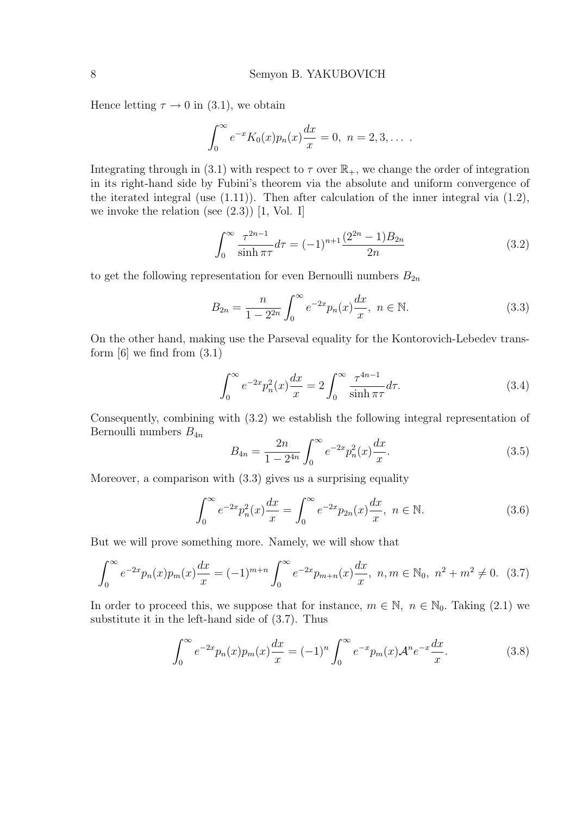Hence letting  $\tau \to 0$  in (3.1), we obtain

$$
\int_0^{\infty} e^{-x} K_0(x) p_n(x) \frac{dx}{x} = 0, \ n = 2, 3, \dots
$$

Integrating through in (3.1) with respect to  $\tau$  over  $\mathbb{R}_+$ , we change the order of integration in its right-hand side by Fubini's theorem via the absolute and uniform convergence of the iterated integral (use (1.11)). Then after calculation of the inner integral via (1.2), we invoke the relation (see  $(2.3)$ ) [1, Vol. I]

$$
\int_0^\infty \frac{\tau^{2n-1}}{\sinh \pi \tau} d\tau = (-1)^{n+1} \frac{(2^{2n} - 1)B_{2n}}{2n}
$$
\n(3.2)

to get the following representation for even Bernoulli numbers  $B_{2n}$ 

$$
B_{2n} = \frac{n}{1 - 2^{2n}} \int_0^\infty e^{-2x} p_n(x) \frac{dx}{x}, \ n \in \mathbb{N}.
$$
 (3.3)

On the other hand, making use the Parseval equality for the Kontorovich-Lebedev transform  $[6]$  we find from  $(3.1)$ 

$$
\int_0^\infty e^{-2x} p_n^2(x) \frac{dx}{x} = 2 \int_0^\infty \frac{\tau^{4n-1}}{\sinh \pi \tau} d\tau.
$$
 (3.4)

Consequently, combining with (3.2) we establish the following integral representation of Bernoulli numbers  $B_{4n}$  $\overline{r}$ 

$$
B_{4n} = \frac{2n}{1 - 2^{4n}} \int_0^\infty e^{-2x} p_n^2(x) \frac{dx}{x}.
$$
 (3.5)

Moreover, a comparison with (3.3) gives us a surprising equality

$$
\int_0^\infty e^{-2x} p_n^2(x) \frac{dx}{x} = \int_0^\infty e^{-2x} p_{2n}(x) \frac{dx}{x}, \ n \in \mathbb{N}.
$$
 (3.6)

But we will prove something more. Namely, we will show that

$$
\int_0^\infty e^{-2x} p_n(x) p_m(x) \frac{dx}{x} = (-1)^{m+n} \int_0^\infty e^{-2x} p_{m+n}(x) \frac{dx}{x}, \ n, m \in \mathbb{N}_0, \ n^2 + m^2 \neq 0. \tag{3.7}
$$

In order to proceed this, we suppose that for instance,  $m \in \mathbb{N}$ ,  $n \in \mathbb{N}_0$ . Taking (2.1) we substitute it in the left-hand side of (3.7). Thus

$$
\int_0^\infty e^{-2x} p_n(x) p_m(x) \frac{dx}{x} = (-1)^n \int_0^\infty e^{-x} p_m(x) \mathcal{A}^n e^{-x} \frac{dx}{x}.
$$
 (3.8)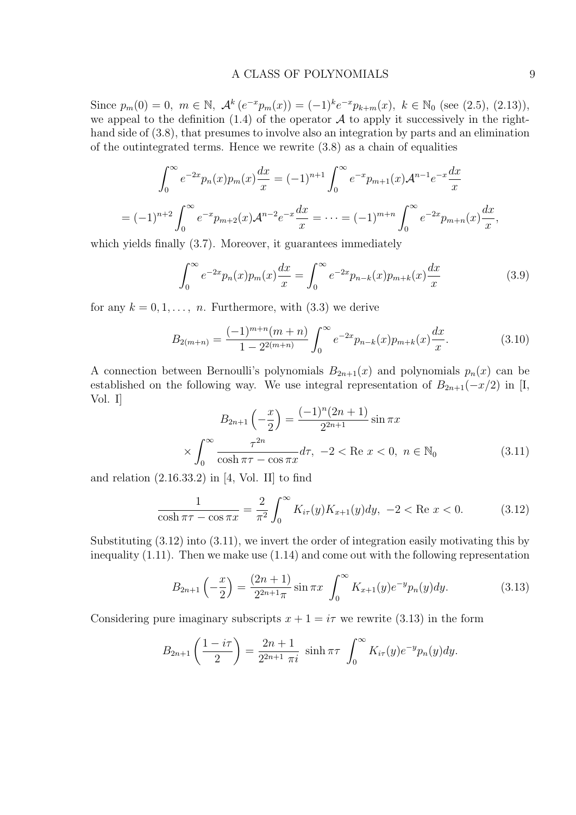### A CLASS OF POLYNOMIALS 9

Since  $p_m(0) = 0$ ,  $m \in \mathbb{N}$ ,  $\mathcal{A}^k(e^{-x}p_m(x)) = (-1)^k e^{-x}p_{k+m}(x)$ ,  $k \in \mathbb{N}_0$  (see (2.5), (2.13)), we appeal to the definition  $(1.4)$  of the operator A to apply it successively in the righthand side of (3.8), that presumes to involve also an integration by parts and an elimination of the outintegrated terms. Hence we rewrite (3.8) as a chain of equalities

$$
\int_0^\infty e^{-2x} p_n(x) p_m(x) \frac{dx}{x} = (-1)^{n+1} \int_0^\infty e^{-x} p_{m+1}(x) \mathcal{A}^{n-1} e^{-x} \frac{dx}{x}
$$
  
=  $(-1)^{n+2} \int_0^\infty e^{-x} p_{m+2}(x) \mathcal{A}^{n-2} e^{-x} \frac{dx}{x} = \dots = (-1)^{m+n} \int_0^\infty e^{-2x} p_{m+n}(x) \frac{dx}{x},$ 

which yields finally  $(3.7)$ . Moreover, it guarantees immediately

$$
\int_0^\infty e^{-2x} p_n(x) p_m(x) \frac{dx}{x} = \int_0^\infty e^{-2x} p_{n-k}(x) p_{m+k}(x) \frac{dx}{x}
$$
 (3.9)

for any  $k = 0, 1, \ldots, n$ . Furthermore, with  $(3.3)$  we derive

$$
B_{2(m+n)} = \frac{(-1)^{m+n}(m+n)}{1 - 2^{2(m+n)}} \int_0^\infty e^{-2x} p_{n-k}(x) p_{m+k}(x) \frac{dx}{x}.
$$
 (3.10)

A connection between Bernoulli's polynomials  $B_{2n+1}(x)$  and polynomials  $p_n(x)$  can be established on the following way. We use integral representation of  $B_{2n+1}(-x/2)$  in [I, Vol. I]

$$
B_{2n+1}\left(-\frac{x}{2}\right) = \frac{(-1)^n (2n+1)}{2^{2n+1}} \sin \pi x
$$
  
\$\times \int\_0^\infty \frac{\tau^{2n}}{\cosh \pi \tau - \cos \pi x} d\tau, -2 < \text{Re } x < 0, n \in \mathbb{N}\_0\$ (3.11)

and relation  $(2.16.33.2)$  in  $[4, Vol. II]$  to find

$$
\frac{1}{\cosh \pi \tau - \cos \pi x} = \frac{2}{\pi^2} \int_0^\infty K_{i\tau}(y) K_{x+1}(y) dy, -2 < \text{Re } x < 0.
$$
 (3.12)

Substituting (3.12) into (3.11), we invert the order of integration easily motivating this by inequality (1.11). Then we make use (1.14) and come out with the following representation

$$
B_{2n+1}\left(-\frac{x}{2}\right) = \frac{(2n+1)}{2^{2n+1}\pi} \sin \pi x \int_0^\infty K_{x+1}(y)e^{-y}p_n(y)dy.
$$
 (3.13)

Considering pure imaginary subscripts  $x + 1 = i\tau$  we rewrite (3.13) in the form

$$
B_{2n+1}\left(\frac{1-i\tau}{2}\right) = \frac{2n+1}{2^{2n+1}\pi i} \sinh \pi \tau \int_0^\infty K_{i\tau}(y) e^{-y} p_n(y) dy.
$$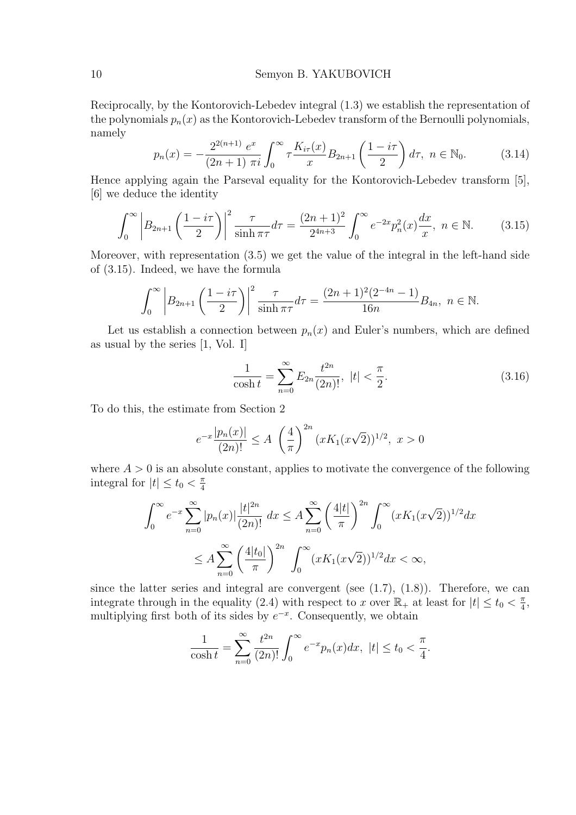Reciprocally, by the Kontorovich-Lebedev integral (1.3) we establish the representation of the polynomials  $p_n(x)$  as the Kontorovich-Lebedev transform of the Bernoulli polynomials, namely  $\mathbf{r}$ 

$$
p_n(x) = -\frac{2^{2(n+1)} e^x}{(2n+1)\pi i} \int_0^\infty \tau \frac{K_{i\tau}(x)}{x} B_{2n+1}\left(\frac{1-i\tau}{2}\right) d\tau, \ n \in \mathbb{N}_0. \tag{3.14}
$$

Hence applying again the Parseval equality for the Kontorovich-Lebedev transform [5], [6] we deduce the identity

$$
\int_0^\infty \left| B_{2n+1} \left( \frac{1-i\tau}{2} \right) \right|^2 \frac{\tau}{\sinh \pi \tau} d\tau = \frac{(2n+1)^2}{2^{4n+3}} \int_0^\infty e^{-2x} p_n^2(x) \frac{dx}{x}, \ n \in \mathbb{N}.
$$
 (3.15)

Moreover, with representation (3.5) we get the value of the integral in the left-hand side of (3.15). Indeed, we have the formula

$$
\int_0^{\infty} \left| B_{2n+1} \left( \frac{1 - i\tau}{2} \right) \right|^2 \frac{\tau}{\sinh \pi \tau} d\tau = \frac{(2n+1)^2 (2^{-4n} - 1)}{16n} B_{4n}, \ n \in \mathbb{N}.
$$

Let us establish a connection between  $p_n(x)$  and Euler's numbers, which are defined as usual by the series [1, Vol. I]

$$
\frac{1}{\cosh t} = \sum_{n=0}^{\infty} E_{2n} \frac{t^{2n}}{(2n)!}, \ |t| < \frac{\pi}{2}.\tag{3.16}
$$

To do this, the estimate from Section 2

$$
e^{-x}\frac{|p_n(x)|}{(2n)!} \le A \left(\frac{4}{\pi}\right)^{2n} (xK_1(x\sqrt{2}))^{1/2}, x > 0
$$

where  $A > 0$  is an absolute constant, applies to motivate the convergence of the following integral for  $|t| \leq t_0 < \frac{\pi}{4}$ 4

$$
\int_0^\infty e^{-x} \sum_{n=0}^\infty |p_n(x)| \frac{|t|^{2n}}{(2n)!} dx \le A \sum_{n=0}^\infty \left(\frac{4|t|}{\pi}\right)^{2n} \int_0^\infty (x K_1(x\sqrt{2}))^{1/2} dx
$$
  

$$
\le A \sum_{n=0}^\infty \left(\frac{4|t_0|}{\pi}\right)^{2n} \int_0^\infty (x K_1(x\sqrt{2}))^{1/2} dx < \infty,
$$

since the latter series and integral are convergent (see  $(1.7)$ ,  $(1.8)$ ). Therefore, we can integrate through in the equality (2.4) with respect to x over  $\mathbb{R}_+$  at least for  $|t| \le t_0 < \frac{\pi}{4}$  $\frac{\pi}{4}$ , multiplying first both of its sides by  $e^{-x}$ . Consequently, we obtain

$$
\frac{1}{\cosh t} = \sum_{n=0}^{\infty} \frac{t^{2n}}{(2n)!} \int_0^{\infty} e^{-x} p_n(x) dx, \ |t| \le t_0 < \frac{\pi}{4}.
$$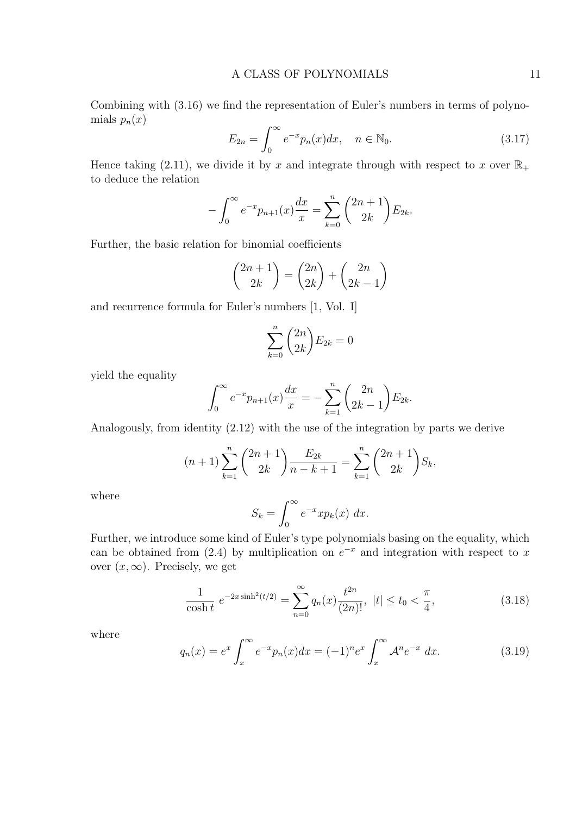Combining with (3.16) we find the representation of Euler's numbers in terms of polynomials  $p_n(x)$  $\overline{r^{\infty}}$ 

$$
E_{2n} = \int_0^\infty e^{-x} p_n(x) dx, \quad n \in \mathbb{N}_0.
$$
 (3.17)

Hence taking (2.11), we divide it by x and integrate through with respect to x over  $\mathbb{R}_+$ to deduce the relation

$$
-\int_0^\infty e^{-x}p_{n+1}(x)\frac{dx}{x} = \sum_{k=0}^n \binom{2n+1}{2k}E_{2k}.
$$

Further, the basic relation for binomial coefficients

$$
\binom{2n+1}{2k} = \binom{2n}{2k} + \binom{2n}{2k-1}
$$

and recurrence formula for Euler's numbers [1, Vol. I]

$$
\sum_{k=0}^{n} \binom{2n}{2k} E_{2k} = 0
$$

yield the equality

$$
\int_0^{\infty} e^{-x} p_{n+1}(x) \frac{dx}{x} = -\sum_{k=1}^n \binom{2n}{2k-1} E_{2k}.
$$

Analogously, from identity (2.12) with the use of the integration by parts we derive

$$
(n+1)\sum_{k=1}^{n} {2n+1 \choose 2k} \frac{E_{2k}}{n-k+1} = \sum_{k=1}^{n} {2n+1 \choose 2k} S_k,
$$

where

$$
S_k = \int_0^\infty e^{-x} x p_k(x) \, dx.
$$

Further, we introduce some kind of Euler's type polynomials basing on the equality, which can be obtained from (2.4) by multiplication on  $e^{-x}$  and integration with respect to x over  $(x, \infty)$ . Precisely, we get

$$
\frac{1}{\cosh t} \ e^{-2x \sinh^2(t/2)} = \sum_{n=0}^{\infty} q_n(x) \frac{t^{2n}}{(2n)!}, \ |t| \le t_0 < \frac{\pi}{4},\tag{3.18}
$$

where

$$
q_n(x) = e^x \int_x^{\infty} e^{-x} p_n(x) dx = (-1)^n e^x \int_x^{\infty} \mathcal{A}^n e^{-x} dx.
$$
 (3.19)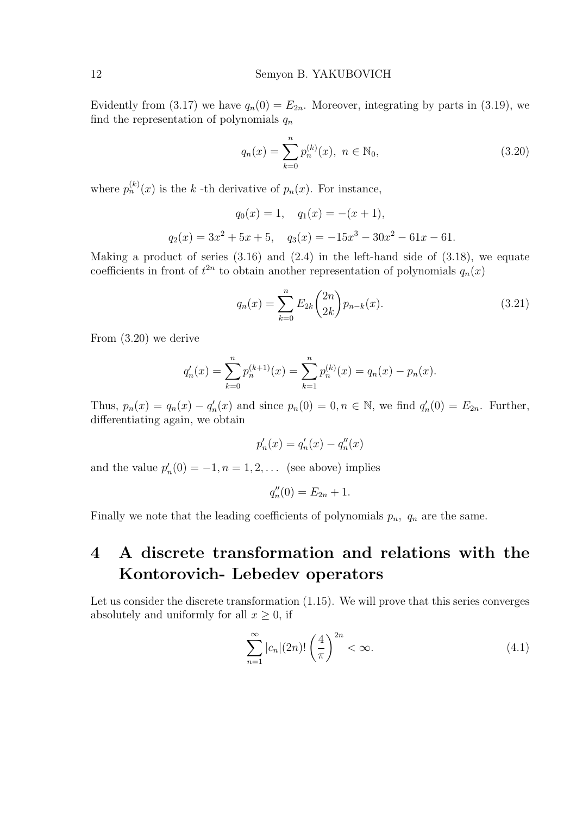Evidently from (3.17) we have  $q_n(0) = E_{2n}$ . Moreover, integrating by parts in (3.19), we find the representation of polynomials  $q_n$ 

$$
q_n(x) = \sum_{k=0}^{n} p_n^{(k)}(x), \ n \in \mathbb{N}_0,
$$
\n(3.20)

where  $p_n^{(k)}(x)$  is the k-th derivative of  $p_n(x)$ . For instance,

$$
q_0(x) = 1
$$
,  $q_1(x) = -(x + 1)$ ,  
 $q_2(x) = 3x^2 + 5x + 5$ ,  $q_3(x) = -15x^3 - 30x^2 - 61x - 61$ .

Making a product of series  $(3.16)$  and  $(2.4)$  in the left-hand side of  $(3.18)$ , we equate coefficients in front of  $t^{2n}$  to obtain another representation of polynomials  $q_n(x)$ 

$$
q_n(x) = \sum_{k=0}^{n} E_{2k} {2n \choose 2k} p_{n-k}(x).
$$
 (3.21)

From (3.20) we derive

$$
q'_n(x) = \sum_{k=0}^n p_n^{(k+1)}(x) = \sum_{k=1}^n p_n^{(k)}(x) = q_n(x) - p_n(x).
$$

Thus,  $p_n(x) = q_n(x) - q'_n(x)$  and since  $p_n(0) = 0, n \in \mathbb{N}$ , we find  $q'_n(0) = E_{2n}$ . Further, differentiating again, we obtain

$$
p_n'(x) = q_n'(x) - q_n''(x)
$$

and the value  $p'_n(0) = -1, n = 1, 2, \dots$  (see above) implies

$$
q''_n(0) = E_{2n} + 1.
$$

Finally we note that the leading coefficients of polynomials  $p_n$ ,  $q_n$  are the same.

### 4 A discrete transformation and relations with the Kontorovich- Lebedev operators

Let us consider the discrete transformation  $(1.15)$ . We will prove that this series converges absolutely and uniformly for all  $x \geq 0$ , if

$$
\sum_{n=1}^{\infty} |c_n|(2n)! \left(\frac{4}{\pi}\right)^{2n} < \infty. \tag{4.1}
$$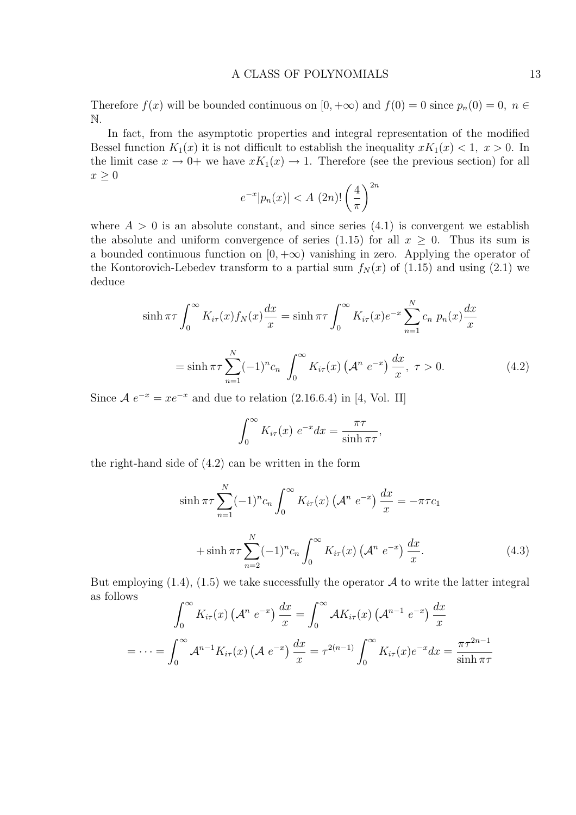Therefore  $f(x)$  will be bounded continuous on  $[0, +\infty)$  and  $f(0) = 0$  since  $p_n(0) = 0$ ,  $n \in$ N.

In fact, from the asymptotic properties and integral representation of the modified Bessel function  $K_1(x)$  it is not difficult to establish the inequality  $xK_1(x) < 1$ ,  $x > 0$ . In the limit case  $x \to 0^+$  we have  $xK_1(x) \to 1$ . Therefore (see the previous section) for all  $x \geq 0$  $\sqrt{2n}$ 

$$
e^{-x}|p_n(x)| < A (2n)! \left(\frac{4}{\pi}\right)^{2n}
$$

where  $A > 0$  is an absolute constant, and since series  $(4.1)$  is convergent we establish the absolute and uniform convergence of series (1.15) for all  $x \geq 0$ . Thus its sum is a bounded continuous function on  $[0, +\infty)$  vanishing in zero. Applying the operator of the Kontorovich-Lebedev transform to a partial sum  $f_N(x)$  of (1.15) and using (2.1) we deduce

$$
\sinh \pi \tau \int_0^\infty K_{i\tau}(x) f_N(x) \frac{dx}{x} = \sinh \pi \tau \int_0^\infty K_{i\tau}(x) e^{-x} \sum_{n=1}^N c_n \ p_n(x) \frac{dx}{x}
$$

$$
= \sinh \pi \tau \sum_{n=1}^N (-1)^n c_n \int_0^\infty K_{i\tau}(x) \left(\mathcal{A}^n e^{-x}\right) \frac{dx}{x}, \ \tau > 0. \tag{4.2}
$$

Since  $A e^{-x} = xe^{-x}$  and due to relation (2.16.6.4) in [4, Vol. II]

$$
\int_0^\infty K_{i\tau}(x) e^{-x} dx = \frac{\pi\tau}{\sinh \pi\tau},
$$

the right-hand side of (4.2) can be written in the form

$$
\sinh \pi \tau \sum_{n=1}^{N} (-1)^{n} c_{n} \int_{0}^{\infty} K_{i\tau}(x) \left( \mathcal{A}^{n} e^{-x} \right) \frac{dx}{x} = -\pi \tau c_{1}
$$

$$
+ \sinh \pi \tau \sum_{n=2}^{N} (-1)^{n} c_{n} \int_{0}^{\infty} K_{i\tau}(x) \left( \mathcal{A}^{n} e^{-x} \right) \frac{dx}{x}.
$$
(4.3)

But employing  $(1.4)$ ,  $(1.5)$  we take successfully the operator A to write the latter integral as follows  $\overline{r^{\infty}}$  $r^{\infty}$ 

$$
\int_0^\infty K_{i\tau}(x) \left(\mathcal{A}^n e^{-x}\right) \frac{dx}{x} = \int_0^\infty \mathcal{A}K_{i\tau}(x) \left(\mathcal{A}^{n-1} e^{-x}\right) \frac{dx}{x}
$$

$$
= \dots = \int_0^\infty \mathcal{A}^{n-1} K_{i\tau}(x) \left(\mathcal{A} e^{-x}\right) \frac{dx}{x} = \tau^{2(n-1)} \int_0^\infty K_{i\tau}(x) e^{-x} dx = \frac{\pi \tau^{2n-1}}{\sinh \pi \tau}
$$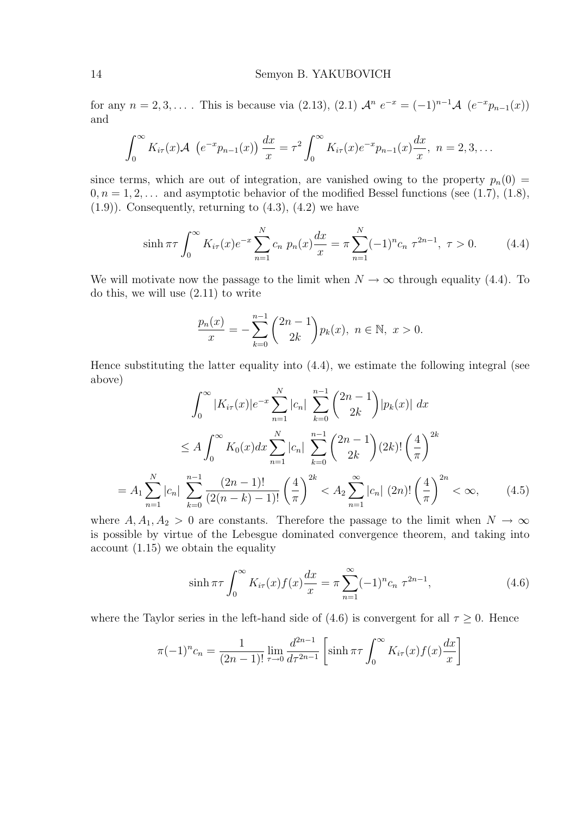for any  $n = 2, 3, \ldots$ . This is because via  $(2.13), (2.1)$   $\mathcal{A}^n e^{-x} = (-1)^{n-1} \mathcal{A} (e^{-x} p_{n-1}(x))$ and

$$
\int_0^{\infty} K_{i\tau}(x) \mathcal{A} \ \left( e^{-x} p_{n-1}(x) \right) \frac{dx}{x} = \tau^2 \int_0^{\infty} K_{i\tau}(x) e^{-x} p_{n-1}(x) \frac{dx}{x}, \ n = 2, 3, \dots
$$

since terms, which are out of integration, are vanished owing to the property  $p_n(0)$  =  $0, n = 1, 2, \ldots$  and asymptotic behavior of the modified Bessel functions (see (1.7), (1.8),  $(1.9)$ ). Consequently, returning to  $(4.3)$ ,  $(4.2)$  we have

$$
\sinh \pi \tau \int_0^\infty K_{i\tau}(x) e^{-x} \sum_{n=1}^N c_n \ p_n(x) \frac{dx}{x} = \pi \sum_{n=1}^N (-1)^n c_n \ \tau^{2n-1}, \ \tau > 0. \tag{4.4}
$$

We will motivate now the passage to the limit when  $N \to \infty$  through equality (4.4). To do this, we will use (2.11) to write

$$
\frac{p_n(x)}{x} = -\sum_{k=0}^{n-1} {2n-1 \choose 2k} p_k(x), \quad n \in \mathbb{N}, \quad x > 0.
$$

Hence substituting the latter equality into (4.4), we estimate the following integral (see above)

$$
\int_0^\infty |K_{i\tau}(x)|e^{-x} \sum_{n=1}^N |c_n| \sum_{k=0}^{n-1} {2n-1 \choose 2k} |p_k(x)| dx
$$
  
\n
$$
\leq A \int_0^\infty K_0(x) dx \sum_{n=1}^N |c_n| \sum_{k=0}^{n-1} {2n-1 \choose 2k} (2k)! \left(\frac{4}{\pi}\right)^{2k}
$$
  
\n
$$
= A_1 \sum_{n=1}^N |c_n| \sum_{k=0}^{n-1} \frac{(2n-1)!}{(2(n-k)-1)!} \left(\frac{4}{\pi}\right)^{2k} < A_2 \sum_{n=1}^\infty |c_n| (2n)! \left(\frac{4}{\pi}\right)^{2n} < \infty,
$$
 (4.5)

where  $A, A_1, A_2 > 0$  are constants. Therefore the passage to the limit when  $N \to \infty$ is possible by virtue of the Lebesgue dominated convergence theorem, and taking into account (1.15) we obtain the equality

$$
\sinh \pi \tau \int_0^\infty K_{i\tau}(x) f(x) \frac{dx}{x} = \pi \sum_{n=1}^\infty (-1)^n c_n \ \tau^{2n-1},\tag{4.6}
$$

where the Taylor series in the left-hand side of (4.6) is convergent for all  $\tau \geq 0$ . Hence

$$
\pi(-1)^n c_n = \frac{1}{(2n-1)!} \lim_{\tau \to 0} \frac{d^{2n-1}}{d\tau^{2n-1}} \left[ \sinh \pi \tau \int_0^\infty K_{i\tau}(x) f(x) \frac{dx}{x} \right]
$$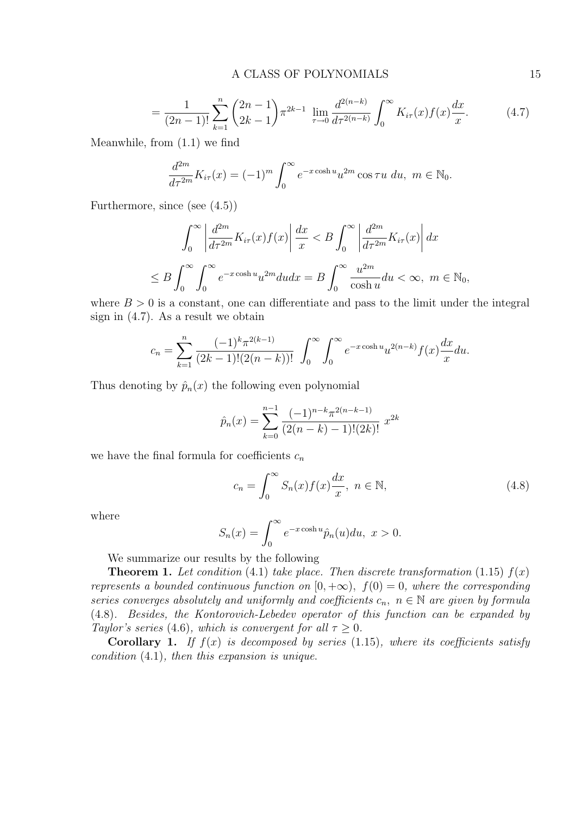$$
= \frac{1}{(2n-1)!} \sum_{k=1}^{n} {2n-1 \choose 2k-1} \pi^{2k-1} \lim_{\tau \to 0} \frac{d^{2(n-k)}}{d\tau^{2(n-k)}} \int_{0}^{\infty} K_{i\tau}(x) f(x) \frac{dx}{x}.
$$
 (4.7)

Meanwhile, from (1.1) we find

$$
\frac{d^{2m}}{d\tau^{2m}}K_{i\tau}(x) = (-1)^m \int_0^\infty e^{-x \cosh u} u^{2m} \cos \tau u \ du, \ m \in \mathbb{N}_0.
$$

Furthermore, since (see (4.5))

$$
\int_0^\infty \left| \frac{d^{2m}}{d\tau^{2m}} K_{i\tau}(x) f(x) \right| \frac{dx}{x} < B \int_0^\infty \left| \frac{d^{2m}}{d\tau^{2m}} K_{i\tau}(x) \right| dx
$$
  

$$
\leq B \int_0^\infty \int_0^\infty e^{-x \cosh u} u^{2m} du dx = B \int_0^\infty \frac{u^{2m}}{\cosh u} du < \infty, \ m \in \mathbb{N}_0,
$$

where  $B > 0$  is a constant, one can differentiate and pass to the limit under the integral sign in (4.7). As a result we obtain

$$
c_n = \sum_{k=1}^n \frac{(-1)^k \pi^{2(k-1)}}{(2k-1)!(2(n-k))!} \int_0^\infty \int_0^\infty e^{-x \cosh u} u^{2(n-k)} f(x) \frac{dx}{x} du.
$$

Thus denoting by  $\hat{p}_n(x)$  the following even polynomial

$$
\hat{p}_n(x) = \sum_{k=0}^{n-1} \frac{(-1)^{n-k} \pi^{2(n-k-1)}}{(2(n-k)-1)!(2k)!} x^{2k}
$$

we have the final formula for coefficients  $c_n$ 

$$
c_n = \int_0^\infty S_n(x) f(x) \frac{dx}{x}, \ n \in \mathbb{N},
$$
\n(4.8)

where

$$
S_n(x) = \int_0^\infty e^{-x \cosh u} \hat{p}_n(u) du, \ x > 0.
$$

We summarize our results by the following

**Theorem 1.** Let condition (4.1) take place. Then discrete transformation (1.15)  $f(x)$ represents a bounded continuous function on  $[0, +\infty)$ ,  $f(0) = 0$ , where the corresponding series converges absolutely and uniformly and coefficients  $c_n$ ,  $n \in \mathbb{N}$  are given by formula (4.8). Besides, the Kontorovich-Lebedev operator of this function can be expanded by Taylor's series (4.6), which is convergent for all  $\tau \geq 0$ .

**Corollary 1.** If  $f(x)$  is decomposed by series (1.15), where its coefficients satisfy condition (4.1), then this expansion is unique.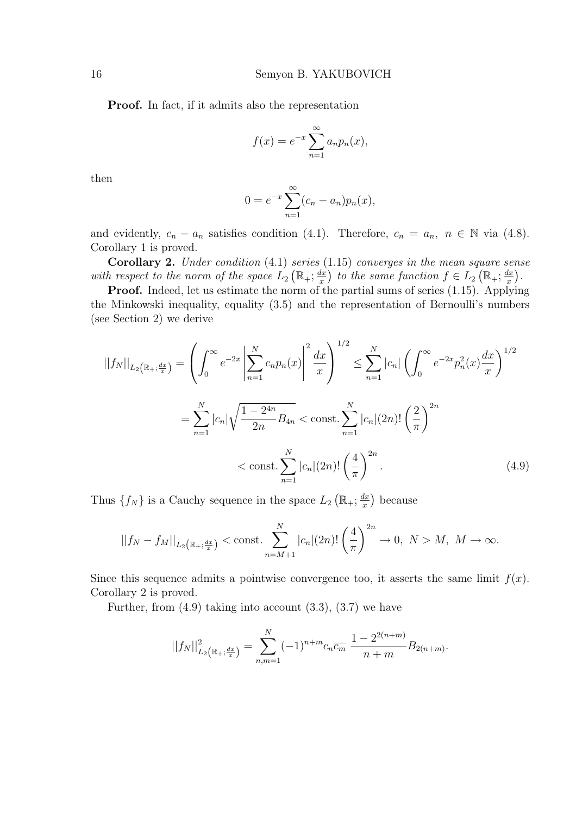Proof. In fact, if it admits also the representation

$$
f(x) = e^{-x} \sum_{n=1}^{\infty} a_n p_n(x),
$$

then

$$
0 = e^{-x} \sum_{n=1}^{\infty} (c_n - a_n) p_n(x),
$$

and evidently,  $c_n - a_n$  satisfies condition (4.1). Therefore,  $c_n = a_n$ ,  $n \in \mathbb{N}$  via (4.8). Corollary 1 is proved.

**Corollary 2.** Under condition  $(4.1)$  series  $(1.15)$  converges in the mean square sense with respect to the norm of the space  $L_2\left(\mathbb{R}_+;\frac{dx}{x}\right)$  $\frac{dx}{dx}$ ) to the same function  $f \in L_2\left(\mathbb{R}_+;\frac{dx}{x}\right)$  $\frac{dx}{x}$ .

Proof. Indeed, let us estimate the norm of the partial sums of series (1.15). Applying the Minkowski inequality, equality (3.5) and the representation of Bernoulli's numbers (see Section 2) we derive

$$
||f_N||_{L_2(\mathbb{R}_+;\frac{dx}{x})} = \left(\int_0^\infty e^{-2x} \left| \sum_{n=1}^N c_n p_n(x) \right|^2 \frac{dx}{x} \right)^{1/2} \le \sum_{n=1}^N |c_n| \left(\int_0^\infty e^{-2x} p_n^2(x) \frac{dx}{x} \right)^{1/2}
$$

$$
= \sum_{n=1}^N |c_n| \sqrt{\frac{1-2^{4n}}{2n}} B_{4n} < \text{const.} \sum_{n=1}^N |c_n|(2n)! \left(\frac{2}{\pi}\right)^{2n}
$$

$$
< \text{const.} \sum_{n=1}^N |c_n|(2n)! \left(\frac{4}{\pi}\right)^{2n}.
$$
(4.9)

Thus  $\{f_N\}$  is a Cauchy sequence in the space  $L_2$  $\mathbb{R}_+;\frac{dx}{x}$ x because

$$
||f_N - f_M||_{L_2(\mathbb{R}_+;\frac{dx}{x})} < \text{const.} \sum_{n=M+1}^N |c_n|(2n)! \left(\frac{4}{\pi}\right)^{2n} \to 0, \ N > M, \ M \to \infty.
$$

Since this sequence admits a pointwise convergence too, it asserts the same limit  $f(x)$ . Corollary 2 is proved.

Further, from  $(4.9)$  taking into account  $(3.3)$ ,  $(3.7)$  we have

$$
||f_N||_{L_2(\mathbb{R}_+;\frac{dx}{x})}^2 = \sum_{n,m=1}^N (-1)^{n+m} c_n \overline{c_m} \frac{1 - 2^{2(n+m)}}{n+m} B_{2(n+m)}.
$$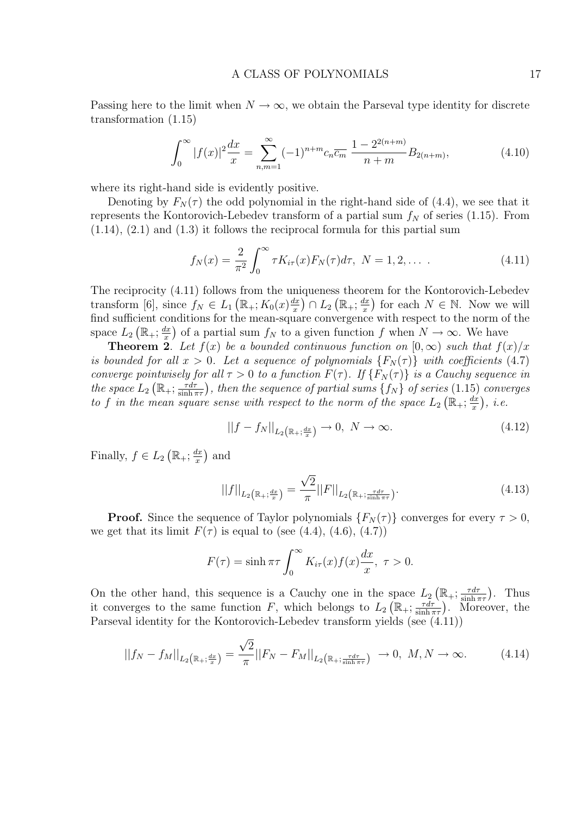Passing here to the limit when  $N \to \infty$ , we obtain the Parseval type identity for discrete transformation (1.15)

$$
\int_0^\infty |f(x)|^2 \frac{dx}{x} = \sum_{n,m=1}^\infty (-1)^{n+m} c_n \overline{c_m} \frac{1 - 2^{2(n+m)}}{n+m} B_{2(n+m)},\tag{4.10}
$$

where its right-hand side is evidently positive.

Denoting by  $F_N(\tau)$  the odd polynomial in the right-hand side of (4.4), we see that it represents the Kontorovich-Lebedev transform of a partial sum  $f_N$  of series (1.15). From  $(1.14)$ ,  $(2.1)$  and  $(1.3)$  it follows the reciprocal formula for this partial sum

$$
f_N(x) = \frac{2}{\pi^2} \int_0^\infty \tau K_{i\tau}(x) F_N(\tau) d\tau, \ N = 1, 2, \dots \tag{4.11}
$$

The reciprocity  $(4.11)$  follows from the uniqueness theorem for the Kontorovich-Lebedev transform [6], since  $f_N \in L_1(\mathbb{R}_+; K_0(x) \frac{dx}{x})$  $\frac{dx}{x}$ )  $\cap$   $L_2$   $(\mathbb{R}_+; \frac{dx}{x})$  $\frac{dx}{x}$ ) for each  $N \in \mathbb{N}$ . Now we will find sufficient conditions for the mean-square convergence with respect to the norm of the space  $L_2\left(\mathbb{R}_+;\frac{dx}{x}\right)$  $\frac{dx}{dx}$ ) of a partial sum  $f_N$  to a given function f when  $N \to \infty$ . We have

**Theorem 2.** Let  $f(x)$  be a bounded continuous function on  $[0,\infty)$  such that  $f(x)/x$ is bounded for all  $x > 0$ . Let a sequence of polynomials  $\{F_N(\tau)\}\;$  with coefficients (4.7) converge pointwisely for all  $\tau > 0$  to a function  $F(\tau)$ . If  $\{F_N(\tau)\}\;$  is a Cauchy sequence in the space  $L_2\left(\mathbb{R}_+;\frac{\tau d\tau}{\sinh\tau}\right)$ ety for all  $\tau > 0$  to a function  $F(\tau)$ . If  $\{F_N(\tau)\}\$  is a Cauchy sequence in  $\frac{\tau d\tau}{\sinh \pi \tau}$ , then the sequence of partial sums  $\{f_N\}$  of series  $(1.15)$  converges to f in the mean square sense with respect to the norm of the space  $L_2$  $\frac{1}{\ell}$  $\mathbb{R}_+;\frac{dx}{x}$ x  $\overline{a}$ , i.e.

$$
||f - f_N||_{L_2(\mathbb{R}_+; \frac{dx}{x})} \to 0, \ N \to \infty.
$$
 (4.12)

Finally,  $f \in L_2$ ¡  $\mathbb{R}_+;\frac{dx}{x}$ x ¢ and

$$
||f||_{L_2(\mathbb{R}_+;\frac{dx}{x})} = \frac{\sqrt{2}}{\pi} ||F||_{L_2(\mathbb{R}_+;\frac{\tau d\tau}{\sinh\pi\tau})}.
$$
\n(4.13)

**Proof.** Since the sequence of Taylor polynomials  $\{F_N(\tau)\}\$ converges for every  $\tau > 0$ , we get that its limit  $F(\tau)$  is equal to (see (4.4), (4.6), (4.7))

$$
F(\tau) = \sinh \pi \tau \int_0^\infty K_{i\tau}(x) f(x) \frac{dx}{x}, \ \tau > 0.
$$

On the other hand, this sequence is a Cauchy one in the space  $L_2$ ¡  $\mathbb{R}_+; \frac{\tau d\tau}{\sinh \tau}$  $\frac{\tau d\tau}{\sinh \pi \tau}$ ). Thus it converges to the same function  $F$ , which belongs to  $L_2$ s<br>7  $\mathbb{R}_+; \frac{\tau d\tau}{\sinh \tau}$  $L_2(\mathbb{R}_+;\frac{\sinh \pi \tau}{\sinh \pi \tau})$ . Thus<br> $\frac{\tau d\tau}{\sinh \pi \tau}$ ). Moreover, the Parseval identity for the Kontorovich-Lebedev transform yields (see (4.11))

$$
||f_N - f_M||_{L_2(\mathbb{R}_+;\frac{dx}{x})} = \frac{\sqrt{2}}{\pi} ||F_N - F_M||_{L_2(\mathbb{R}_+;\frac{\tau d\tau}{\sinh\pi\tau})} \to 0, \ M, N \to \infty.
$$
 (4.14)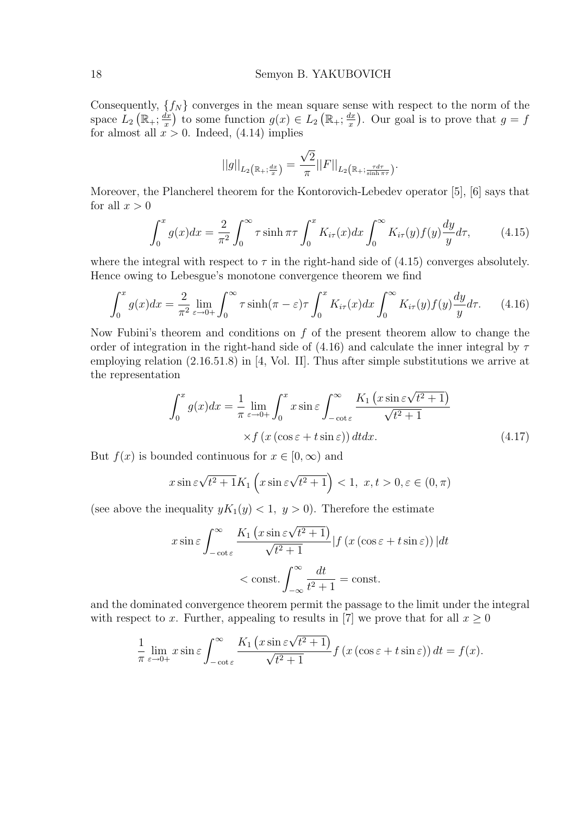Consequently,  $\{f_N\}$  converges in the mean square sense with respect to the norm of the space  $L_2\left(\mathbb{R}_+;\frac{dx}{x}\right)$  $\frac{dx}{dx}$ ) to some function  $g(x) \in L_2\left(\mathbb{R}_+;\frac{dx}{x}\right)$  $\frac{dx}{x}$ ). Our goal is to prove that  $g = f$ for almost all  $x > 0$ . Indeed, (4.14) implies

$$
||g||_{L_2\left(\mathbb{R}_+;\frac{dx}{x}\right)} = \frac{\sqrt{2}}{\pi} ||F||_{L_2\left(\mathbb{R}_+;\frac{\tau d\tau}{\sinh \pi \tau}\right)}.
$$

Moreover, the Plancherel theorem for the Kontorovich-Lebedev operator [5], [6] says that for all  $x > 0$ 

$$
\int_0^x g(x)dx = \frac{2}{\pi^2} \int_0^\infty \tau \sinh \pi \tau \int_0^x K_{i\tau}(x)dx \int_0^\infty K_{i\tau}(y)f(y)\frac{dy}{y}d\tau, \tag{4.15}
$$

where the integral with respect to  $\tau$  in the right-hand side of (4.15) converges absolutely. Hence owing to Lebesgue's monotone convergence theorem we find

$$
\int_0^x g(x)dx = \frac{2}{\pi^2} \lim_{\varepsilon \to 0+} \int_0^\infty \tau \sinh(\pi - \varepsilon) \tau \int_0^x K_{i\tau}(x)dx \int_0^\infty K_{i\tau}(y)f(y)\frac{dy}{y}d\tau.
$$
 (4.16)

Now Fubini's theorem and conditions on  $f$  of the present theorem allow to change the order of integration in the right-hand side of (4.16) and calculate the inner integral by  $\tau$ employing relation (2.16.51.8) in [4, Vol. II]. Thus after simple substitutions we arrive at the representation

$$
\int_0^x g(x)dx = \frac{1}{\pi} \lim_{\varepsilon \to 0+} \int_0^x x \sin \varepsilon \int_{-\cot \varepsilon}^\infty \frac{K_1(x \sin \varepsilon \sqrt{t^2 + 1})}{\sqrt{t^2 + 1}}
$$
  
  $\times f(x (\cos \varepsilon + t \sin \varepsilon)) dt dx.$  (4.17)

But  $f(x)$  is bounded continuous for  $x \in [0, \infty)$  and

$$
x\sin\varepsilon\sqrt{t^2+1}K_1\left(x\sin\varepsilon\sqrt{t^2+1}\right) < 1, \ x, t > 0, \varepsilon \in (0, \pi)
$$

(see above the inequality  $yK_1(y) < 1, y > 0$ ). Therefore the estimate

$$
x \sin \varepsilon \int_{-\cot \varepsilon}^{\infty} \frac{K_1 \left( x \sin \varepsilon \sqrt{t^2 + 1} \right)}{\sqrt{t^2 + 1}} |f(x(\cos \varepsilon + t \sin \varepsilon))| dt
$$
  
< 
$$
< \text{const.} \int_{-\infty}^{\infty} \frac{dt}{t^2 + 1} = \text{const.}
$$

and the dominated convergence theorem permit the passage to the limit under the integral with respect to x. Further, appealing to results in [7] we prove that for all  $x \geq 0$ 

$$
\frac{1}{\pi} \lim_{\varepsilon \to 0+} x \sin \varepsilon \int_{-\cot \varepsilon}^{\infty} \frac{K_1 \left( x \sin \varepsilon \sqrt{t^2 + 1} \right)}{\sqrt{t^2 + 1}} f \left( x \left( \cos \varepsilon + t \sin \varepsilon \right) \right) dt = f(x).
$$